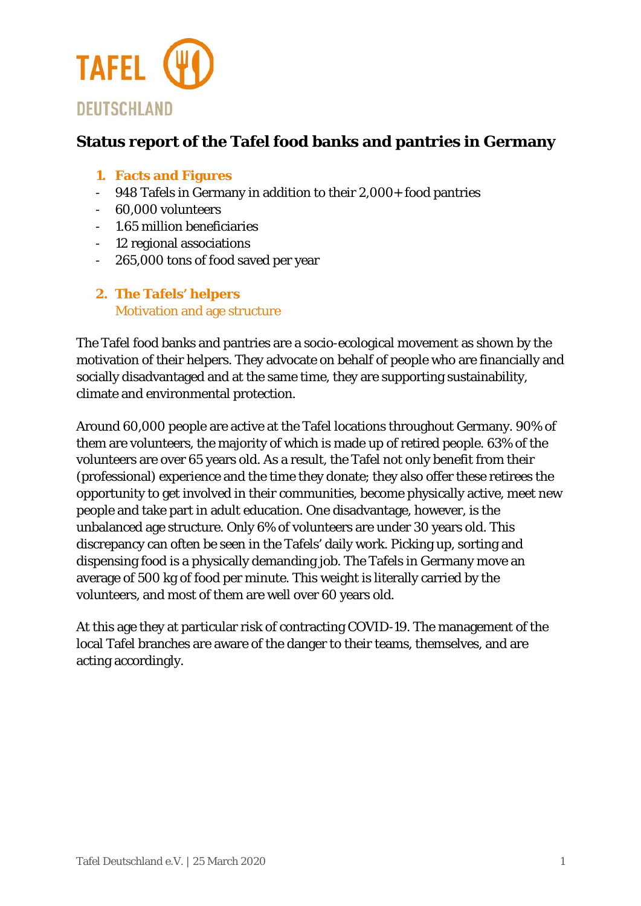

## **Status report of the Tafel food banks and pantries in Germany**

- **1. Facts and Figures**
- 948 Tafels in Germany in addition to their 2,000+ food pantries
- 60,000 volunteers
- 1.65 million beneficiaries
- 12 regional associations
- 265,000 tons of food saved per year

### **2. The Tafels' helpers** Motivation and age structure

The Tafel food banks and pantries are a socio-ecological movement as shown by the motivation of their helpers. They advocate on behalf of people who are financially and socially disadvantaged and at the same time, they are supporting sustainability, climate and environmental protection.

Around 60,000 people are active at the Tafel locations throughout Germany. 90% of them are volunteers, the majority of which is made up of retired people. 63% of the volunteers are over 65 years old. As a result, the Tafel not only benefit from their (professional) experience and the time they donate; they also offer these retirees the opportunity to get involved in their communities, become physically active, meet new people and take part in adult education. One disadvantage, however, is the unbalanced age structure. Only 6% of volunteers are under 30 years old. This discrepancy can often be seen in the Tafels' daily work. Picking up, sorting and dispensing food is a physically demanding job. The Tafels in Germany move an average of 500 kg of food per minute. This weight is literally carried by the volunteers, and most of them are well over 60 years old.

At this age they at particular risk of contracting COVID-19. The management of the local Tafel branches are aware of the danger to their teams, themselves, and are acting accordingly.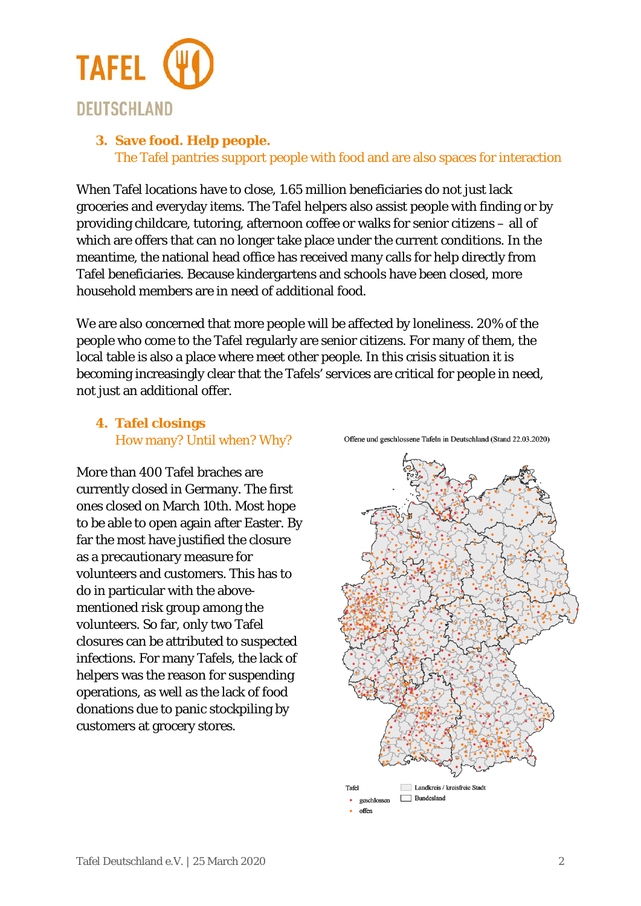

### **3. Save food. Help people.**

The Tafel pantries support people with food and are also spaces for interaction

When Tafel locations have to close, 1.65 million beneficiaries do not just lack groceries and everyday items. The Tafel helpers also assist people with finding or by providing childcare, tutoring, afternoon coffee or walks for senior citizens – all of which are offers that can no longer take place under the current conditions. In the meantime, the national head office has received many calls for help directly from Tafel beneficiaries. Because kindergartens and schools have been closed, more household members are in need of additional food.

We are also concerned that more people will be affected by loneliness. 20% of the people who come to the Tafel regularly are senior citizens. For many of them, the local table is also a place where meet other people. In this crisis situation it is becoming increasingly clear that the Tafels' services are critical for people in need, not just an additional offer.

### **4. Tafel closings** How many? Until when? Why?

More than 400 Tafel braches are currently closed in Germany. The first ones closed on March 10th. Most hope to be able to open again after Easter. By far the most have justified the closure as a precautionary measure for volunteers and customers. This has to do in particular with the abovementioned risk group among the volunteers. So far, only two Tafel closures can be attributed to suspected infections. For many Tafels, the lack of helpers was the reason for suspending operations, as well as the lack of food donations due to panic stockpiling by customers at grocery stores.

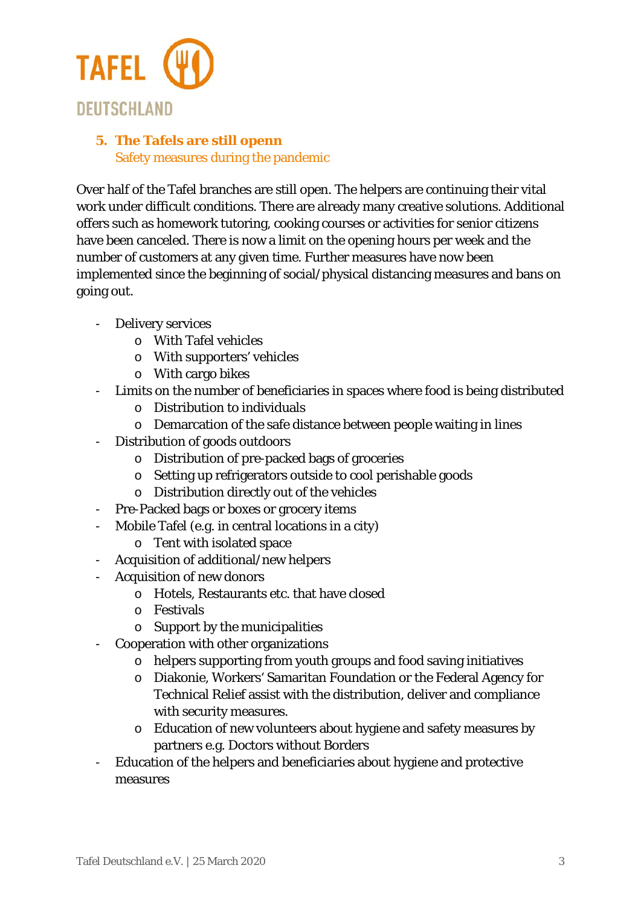

## **5. The Tafels are still openn**  Safety measures during the pandemic

Over half of the Tafel branches are still open. The helpers are continuing their vital work under difficult conditions. There are already many creative solutions. Additional offers such as homework tutoring, cooking courses or activities for senior citizens have been canceled. There is now a limit on the opening hours per week and the number of customers at any given time. Further measures have now been implemented since the beginning of social/physical distancing measures and bans on going out.

- Delivery services
	- o With Tafel vehicles
	- o With supporters' vehicles
	- o With cargo bikes
- Limits on the number of beneficiaries in spaces where food is being distributed
	- o Distribution to individuals
	- o Demarcation of the safe distance between people waiting in lines
- Distribution of goods outdoors
	- o Distribution of pre-packed bags of groceries
	- o Setting up refrigerators outside to cool perishable goods
	- o Distribution directly out of the vehicles
- Pre-Packed bags or boxes or grocery items
- Mobile Tafel (e.g. in central locations in a city)
	- o Tent with isolated space
- Acquisition of additional/new helpers
- Acquisition of new donors
	- o Hotels, Restaurants etc. that have closed
	- o Festivals
	- o Support by the municipalities
- Cooperation with other organizations
	- o helpers supporting from youth groups and food saving initiatives
	- o Diakonie, Workers' Samaritan Foundation or the Federal Agency for Technical Relief assist with the distribution, deliver and compliance with security measures.
	- o Education of new volunteers about hygiene and safety measures by partners e.g. Doctors without Borders
- Education of the helpers and beneficiaries about hygiene and protective measures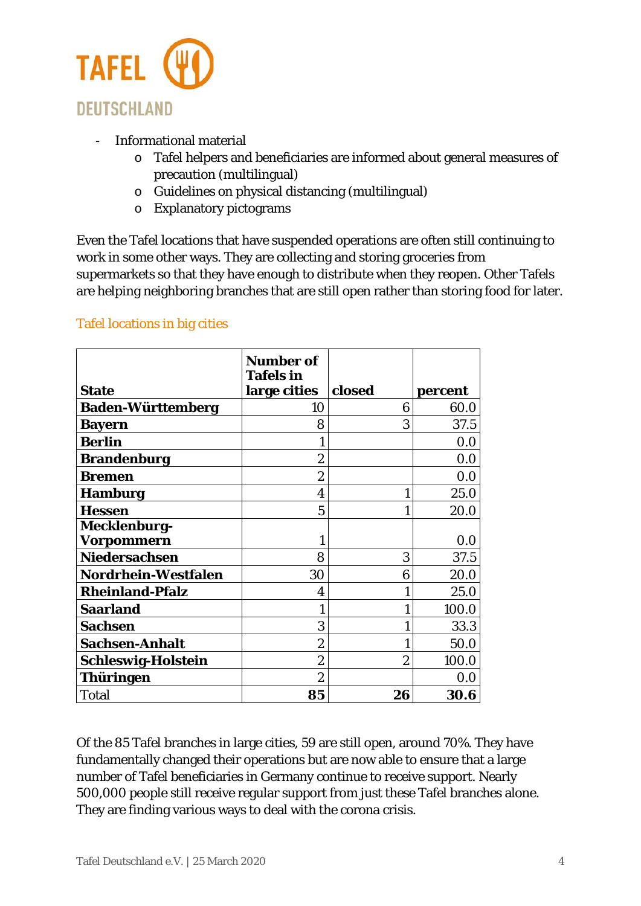

- Informational material
	- o Tafel helpers and beneficiaries are informed about general measures of precaution (multilingual)
	- o Guidelines on physical distancing (multilingual)
	- o Explanatory pictograms

Even the Tafel locations that have suspended operations are often still continuing to work in some other ways. They are collecting and storing groceries from supermarkets so that they have enough to distribute when they reopen. Other Tafels are helping neighboring branches that are still open rather than storing food for later.

### Tafel locations in big cities

|                           | <b>Number of</b><br><b>Tafels</b> in |                |         |
|---------------------------|--------------------------------------|----------------|---------|
| <b>State</b>              | large cities                         | closed         | percent |
| <b>Baden-Württemberg</b>  | 10                                   | 6              | 60.0    |
| <b>Bayern</b>             | 8                                    | 3              | 37.5    |
| <b>Berlin</b>             |                                      |                | 0.0     |
| <b>Brandenburg</b>        | $\overline{2}$                       |                | 0.0     |
| <b>Bremen</b>             | $\overline{2}$                       |                | 0.0     |
| <b>Hamburg</b>            | 4                                    |                | 25.0    |
| <b>Hessen</b>             | 5                                    |                | 20.0    |
| <b>Mecklenburg-</b>       |                                      |                |         |
| Vorpommern                |                                      |                | 0.0     |
| <b>Niedersachsen</b>      | 8                                    | 3              | 37.5    |
| Nordrhein-Westfalen       | 30                                   | 6              | 20.0    |
| <b>Rheinland-Pfalz</b>    | 4                                    |                | 25.0    |
| <b>Saarland</b>           |                                      |                | 100.0   |
| <b>Sachsen</b>            | 3                                    |                | 33.3    |
| <b>Sachsen-Anhalt</b>     | $\overline{2}$                       |                | 50.0    |
| <b>Schleswig-Holstein</b> | $\boldsymbol{2}$                     | $\overline{2}$ | 100.0   |
| Thüringen                 | $\overline{2}$                       |                | 0.0     |
| <b>Total</b>              | 85                                   | 26             | 30.6    |

Of the 85 Tafel branches in large cities, 59 are still open, around 70%. They have fundamentally changed their operations but are now able to ensure that a large number of Tafel beneficiaries in Germany continue to receive support. Nearly 500,000 people still receive regular support from just these Tafel branches alone. They are finding various ways to deal with the corona crisis.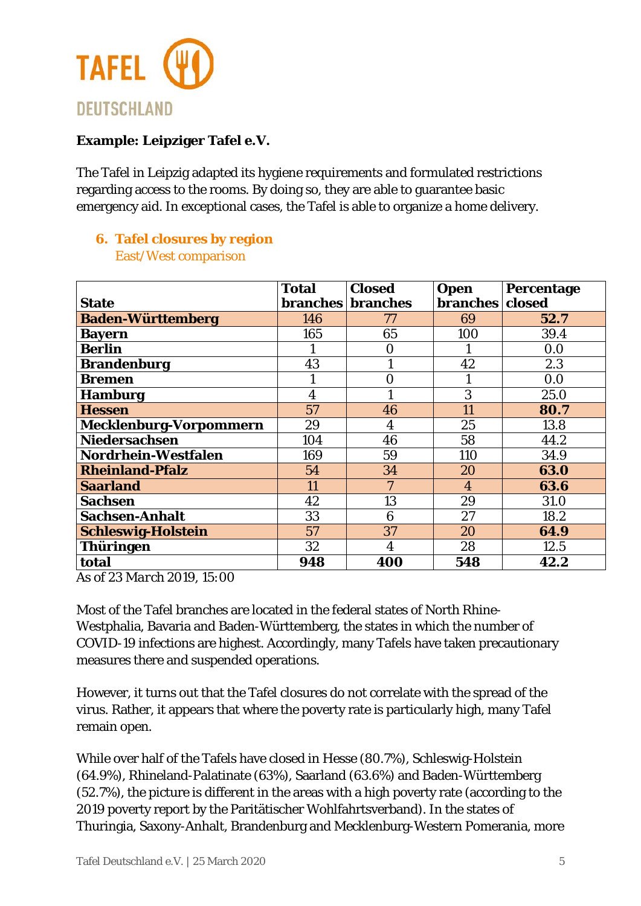

### **Example: Leipziger Tafel e.V.**

The Tafel in Leipzig adapted its hygiene requirements and formulated restrictions regarding access to the rooms. By doing so, they are able to guarantee basic emergency aid. In exceptional cases, the Tafel is able to organize a home delivery.

# **6. Tafel closures by region**

East/West comparison

|                               | <b>Total</b>            | <b>Closed</b>            | <b>Open</b>     | Percentage |
|-------------------------------|-------------------------|--------------------------|-----------------|------------|
| <b>State</b>                  |                         | <b>branches</b> branches | <b>branches</b> | closed     |
| <b>Baden-Württemberg</b>      | 146                     | 77                       | 69              | 52.7       |
| <b>Bayern</b>                 | 165                     | 65                       | 100             | 39.4       |
| <b>Berlin</b>                 |                         | $\boldsymbol{0}$         |                 | 0.0        |
| <b>Brandenburg</b>            | 43                      |                          | 42              | 2.3        |
| <b>Bremen</b>                 |                         | $\overline{0}$           |                 | 0.0        |
| <b>Hamburg</b>                | $\overline{\mathbf{4}}$ |                          | 3               | 25.0       |
| <b>Hessen</b>                 | 57                      | 46                       | 11              | 80.7       |
| <b>Mecklenburg-Vorpommern</b> | 29                      | $\boldsymbol{4}$         | 25              | 13.8       |
| <b>Niedersachsen</b>          | 104                     | 46                       | 58              | 44.2       |
| Nordrhein-Westfalen           | 169                     | 59                       | 110             | 34.9       |
| <b>Rheinland-Pfalz</b>        | 54                      | 34                       | 20              | 63.0       |
| <b>Saarland</b>               | 11                      | 7                        | $\overline{4}$  | 63.6       |
| <b>Sachsen</b>                | 42                      | 13                       | 29              | 31.0       |
| <b>Sachsen-Anhalt</b>         | 33                      | 6                        | 27              | 18.2       |
| <b>Schleswig-Holstein</b>     | 57                      | 37                       | 20              | 64.9       |
| <b>Thüringen</b>              | 32                      | $\overline{\mathbf{4}}$  | 28              | 12.5       |
| total                         | 948                     | 400                      | 548             | 42.2       |

*As of 23 March 2019, 15:00*

Most of the Tafel branches are located in the federal states of North Rhine-Westphalia, Bavaria and Baden-Württemberg, the states in which the number of COVID-19 infections are highest. Accordingly, many Tafels have taken precautionary measures there and suspended operations.

However, it turns out that the Tafel closures do not correlate with the spread of the virus. Rather, it appears that where the poverty rate is particularly high, many Tafel remain open.

While over half of the Tafels have closed in Hesse (80.7%), Schleswig-Holstein (64.9%), Rhineland-Palatinate (63%), Saarland (63.6%) and Baden-Württemberg (52.7%), the picture is different in the areas with a high poverty rate (according to the 2019 poverty report by the Paritätischer Wohlfahrtsverband). In the states of Thuringia, Saxony-Anhalt, Brandenburg and Mecklenburg-Western Pomerania, more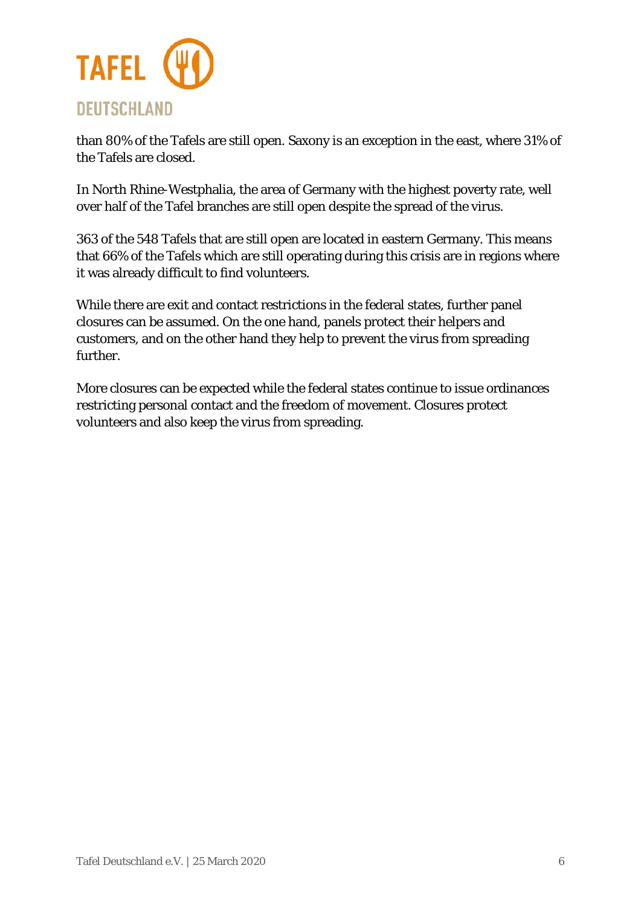

than 80% of the Tafels are still open. Saxony is an exception in the east, where 31% of the Tafels are closed.

In North Rhine-Westphalia, the area of Germany with the highest poverty rate, well over half of the Tafel branches are still open despite the spread of the virus.

363 of the 548 Tafels that are still open are located in eastern Germany. This means that 66% of the Tafels which are still operating during this crisis are in regions where it was already difficult to find volunteers.

While there are exit and contact restrictions in the federal states, further panel closures can be assumed. On the one hand, panels protect their helpers and customers, and on the other hand they help to prevent the virus from spreading further.

More closures can be expected while the federal states continue to issue ordinances restricting personal contact and the freedom of movement. Closures protect volunteers and also keep the virus from spreading.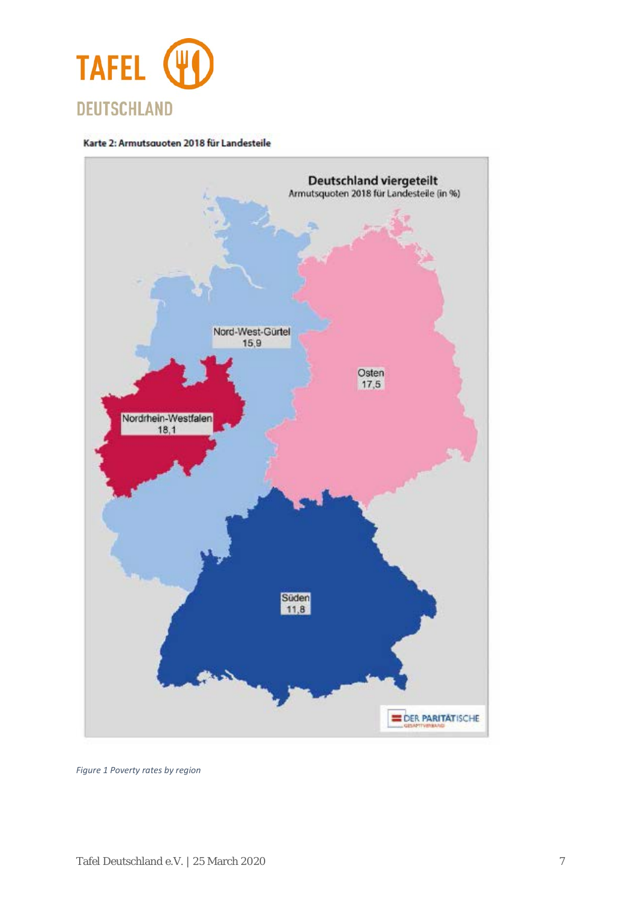

#### Karte 2: Armutsquoten 2018 für Landesteile



*Figure 1 Poverty rates by region*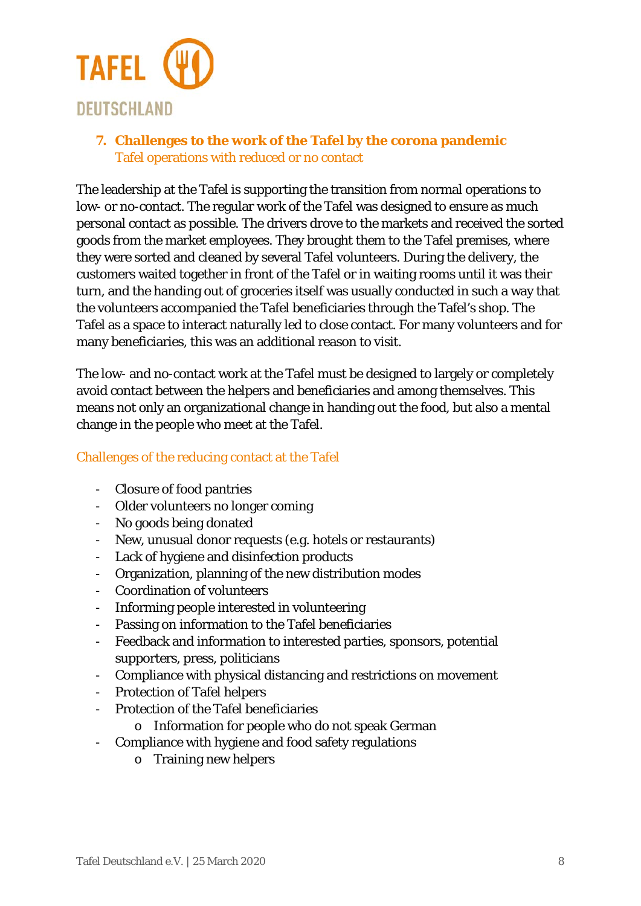

**7. Challenges to the work of the Tafel by the corona pandemic**  Tafel operations with reduced or no contact

The leadership at the Tafel is supporting the transition from normal operations to low- or no-contact. The regular work of the Tafel was designed to ensure as much personal contact as possible. The drivers drove to the markets and received the sorted goods from the market employees. They brought them to the Tafel premises, where they were sorted and cleaned by several Tafel volunteers. During the delivery, the customers waited together in front of the Tafel or in waiting rooms until it was their turn, and the handing out of groceries itself was usually conducted in such a way that the volunteers accompanied the Tafel beneficiaries through the Tafel's shop. The Tafel as a space to interact naturally led to close contact. For many volunteers and for many beneficiaries, this was an additional reason to visit.

The low- and no-contact work at the Tafel must be designed to largely or completely avoid contact between the helpers and beneficiaries and among themselves. This means not only an organizational change in handing out the food, but also a mental change in the people who meet at the Tafel.

### Challenges of the reducing contact at the Tafel

- Closure of food pantries
- Older volunteers no longer coming
- No goods being donated
- New, unusual donor requests (e.g. hotels or restaurants)
- Lack of hygiene and disinfection products
- Organization, planning of the new distribution modes
- Coordination of volunteers
- Informing people interested in volunteering
- Passing on information to the Tafel beneficiaries
- Feedback and information to interested parties, sponsors, potential supporters, press, politicians
- Compliance with physical distancing and restrictions on movement
- Protection of Tafel helpers
- Protection of the Tafel beneficiaries
	- o Information for people who do not speak German
- Compliance with hygiene and food safety regulations
	- o Training new helpers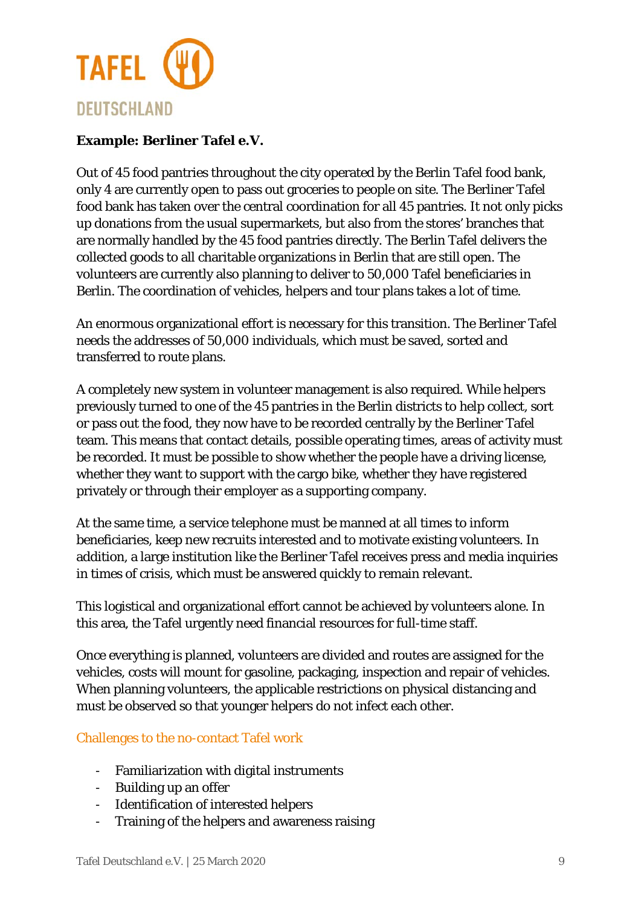

### **Example: Berliner Tafel e.V.**

Out of 45 food pantries throughout the city operated by the Berlin Tafel food bank, only 4 are currently open to pass out groceries to people on site. The Berliner Tafel food bank has taken over the central coordination for all 45 pantries. It not only picks up donations from the usual supermarkets, but also from the stores' branches that are normally handled by the 45 food pantries directly. The Berlin Tafel delivers the collected goods to all charitable organizations in Berlin that are still open. The volunteers are currently also planning to deliver to 50,000 Tafel beneficiaries in Berlin. The coordination of vehicles, helpers and tour plans takes a lot of time.

An enormous organizational effort is necessary for this transition. The Berliner Tafel needs the addresses of 50,000 individuals, which must be saved, sorted and transferred to route plans.

A completely new system in volunteer management is also required. While helpers previously turned to one of the 45 pantries in the Berlin districts to help collect, sort or pass out the food, they now have to be recorded centrally by the Berliner Tafel team. This means that contact details, possible operating times, areas of activity must be recorded. It must be possible to show whether the people have a driving license, whether they want to support with the cargo bike, whether they have registered privately or through their employer as a supporting company.

At the same time, a service telephone must be manned at all times to inform beneficiaries, keep new recruits interested and to motivate existing volunteers. In addition, a large institution like the Berliner Tafel receives press and media inquiries in times of crisis, which must be answered quickly to remain relevant.

This logistical and organizational effort cannot be achieved by volunteers alone. In this area, the Tafel urgently need financial resources for full-time staff.

Once everything is planned, volunteers are divided and routes are assigned for the vehicles, costs will mount for gasoline, packaging, inspection and repair of vehicles. When planning volunteers, the applicable restrictions on physical distancing and must be observed so that younger helpers do not infect each other.

### Challenges to the no-contact Tafel work

- Familiarization with digital instruments
- Building up an offer
- Identification of interested helpers
- Training of the helpers and awareness raising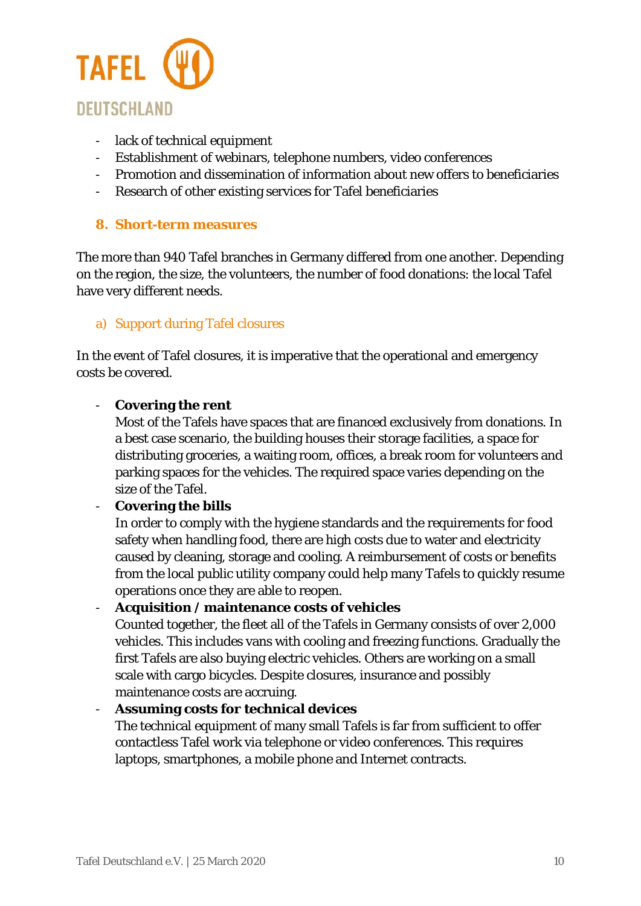

- lack of technical equipment
- Establishment of webinars, telephone numbers, video conferences
- Promotion and dissemination of information about new offers to beneficiaries
- Research of other existing services for Tafel beneficiaries

#### **8. Short-term measures**

The more than 940 Tafel branches in Germany differed from one another. Depending on the region, the size, the volunteers, the number of food donations: the local Tafel have very different needs.

#### a) Support during Tafel closures

In the event of Tafel closures, it is imperative that the operational and emergency costs be covered.

#### - **Covering the rent**

Most of the Tafels have spaces that are financed exclusively from donations. In a best case scenario, the building houses their storage facilities, a space for distributing groceries, a waiting room, offices, a break room for volunteers and parking spaces for the vehicles. The required space varies depending on the size of the Tafel.

#### - **Covering the bills**

In order to comply with the hygiene standards and the requirements for food safety when handling food, there are high costs due to water and electricity caused by cleaning, storage and cooling. A reimbursement of costs or benefits from the local public utility company could help many Tafels to quickly resume operations once they are able to reopen.

#### - **Acquisition / maintenance costs of vehicles**

Counted together, the fleet all of the Tafels in Germany consists of over 2,000 vehicles. This includes vans with cooling and freezing functions. Gradually the first Tafels are also buying electric vehicles. Others are working on a small scale with cargo bicycles. Despite closures, insurance and possibly maintenance costs are accruing.

#### - **Assuming costs for technical devices**

The technical equipment of many small Tafels is far from sufficient to offer contactless Tafel work via telephone or video conferences. This requires laptops, smartphones, a mobile phone and Internet contracts.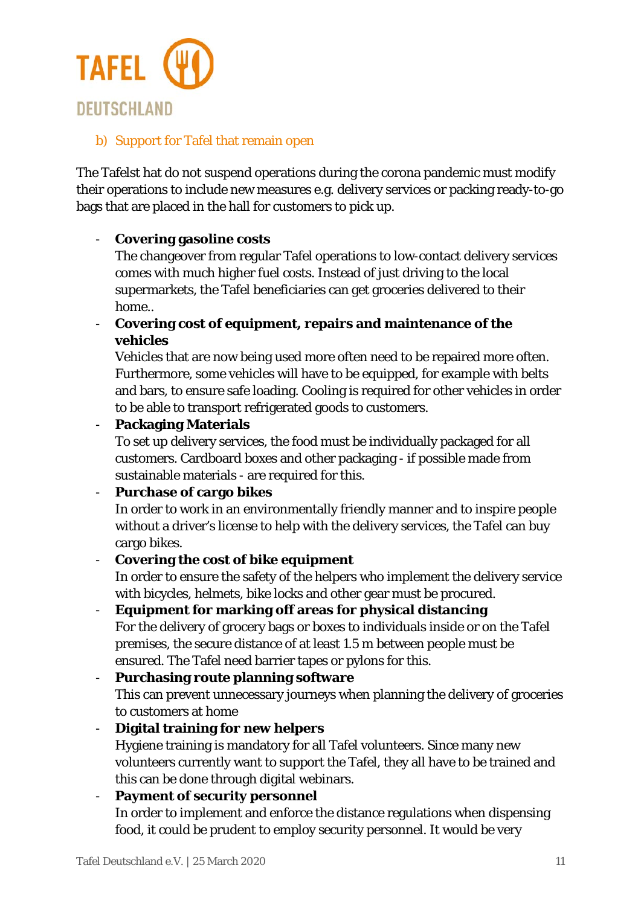

### b) Support for Tafel that remain open

The Tafelst hat do not suspend operations during the corona pandemic must modify their operations to include new measures e.g. delivery services or packing ready-to-go bags that are placed in the hall for customers to pick up.

### - **Covering gasoline costs**

The changeover from regular Tafel operations to low-contact delivery services comes with much higher fuel costs. Instead of just driving to the local supermarkets, the Tafel beneficiaries can get groceries delivered to their home..

- **Covering cost of equipment, repairs and maintenance of the vehicles**

Vehicles that are now being used more often need to be repaired more often. Furthermore, some vehicles will have to be equipped, for example with belts and bars, to ensure safe loading. Cooling is required for other vehicles in order to be able to transport refrigerated goods to customers.

### - **Packaging Materials**

To set up delivery services, the food must be individually packaged for all customers. Cardboard boxes and other packaging - if possible made from sustainable materials - are required for this.

### - **Purchase of cargo bikes**

In order to work in an environmentally friendly manner and to inspire people without a driver's license to help with the delivery services, the Tafel can buy cargo bikes.

### - **Covering the cost of bike equipment**

In order to ensure the safety of the helpers who implement the delivery service with bicycles, helmets, bike locks and other gear must be procured.

- **Equipment for marking off areas for physical distancing** For the delivery of grocery bags or boxes to individuals inside or on the Tafel premises, the secure distance of at least 1.5 m between people must be ensured. The Tafel need barrier tapes or pylons for this.

## - **Purchasing route planning software**

This can prevent unnecessary journeys when planning the delivery of groceries to customers at home

- **Digital training for new helpers** Hygiene training is mandatory for all Tafel volunteers. Since many new volunteers currently want to support the Tafel, they all have to be trained and this can be done through digital webinars.

### - **Payment of security personnel**

In order to implement and enforce the distance regulations when dispensing food, it could be prudent to employ security personnel. It would be very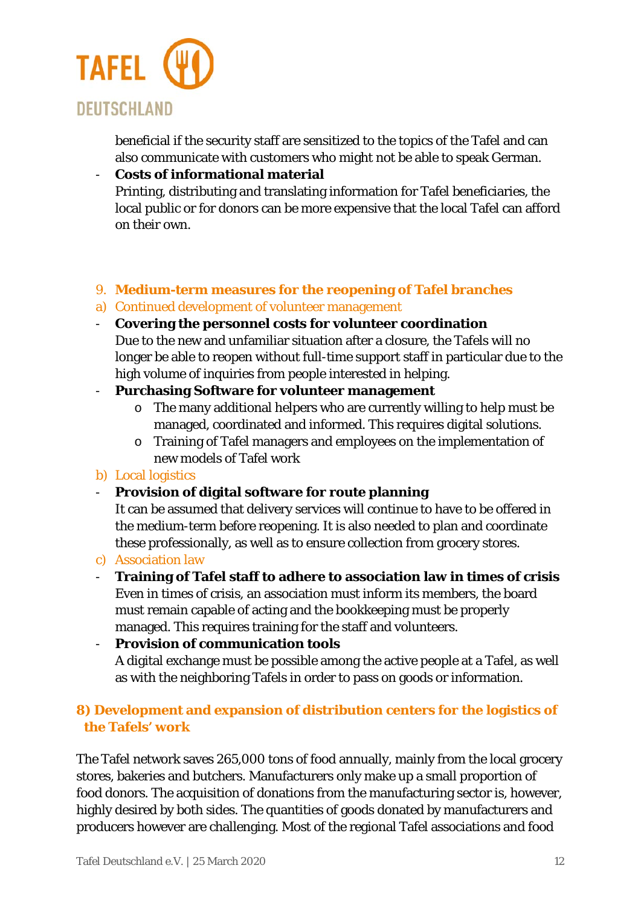

beneficial if the security staff are sensitized to the topics of the Tafel and can also communicate with customers who might not be able to speak German.

### - **Costs of informational material** Printing, distributing and translating information for Tafel beneficiaries, the local public or for donors can be more expensive that the local Tafel can afford on their own.

#### 9. **Medium-term measures for the reopening of Tafel branches**

- a) Continued development of volunteer management
- **Covering the personnel costs for volunteer coordination**  Due to the new and unfamiliar situation after a closure, the Tafels will no longer be able to reopen without full-time support staff in particular due to the high volume of inquiries from people interested in helping.

#### - **Purchasing Software for volunteer management**

- o The many additional helpers who are currently willing to help must be managed, coordinated and informed. This requires digital solutions.
- o Training of Tafel managers and employees on the implementation of new models of Tafel work

#### b) Local logistics

### - **Provision of digital software for route planning**

It can be assumed that delivery services will continue to have to be offered in the medium-term before reopening. It is also needed to plan and coordinate these professionally, as well as to ensure collection from grocery stores.

#### c) Association law

- **Training of Tafel staff to adhere to association law in times of crisis** Even in times of crisis, an association must inform its members, the board must remain capable of acting and the bookkeeping must be properly managed. This requires training for the staff and volunteers.

- **Provision of communication tools** A digital exchange must be possible among the active people at a Tafel, as well as with the neighboring Tafels in order to pass on goods or information.

### **8) Development and expansion of distribution centers for the logistics of the Tafels' work**

The Tafel network saves 265,000 tons of food annually, mainly from the local grocery stores, bakeries and butchers. Manufacturers only make up a small proportion of food donors. The acquisition of donations from the manufacturing sector is, however, highly desired by both sides. The quantities of goods donated by manufacturers and producers however are challenging. Most of the regional Tafel associations and food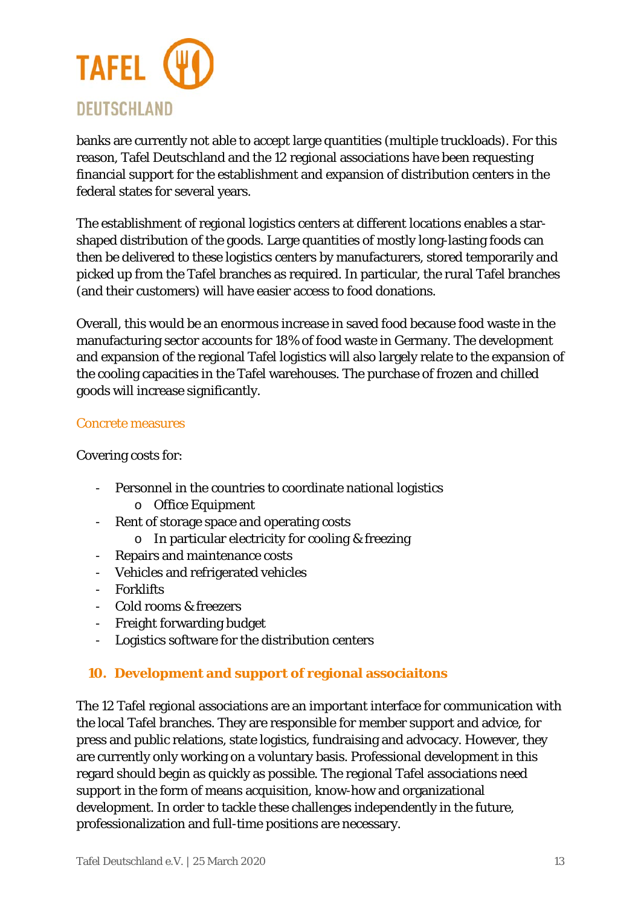

banks are currently not able to accept large quantities (multiple truckloads). For this reason, Tafel Deutschland and the 12 regional associations have been requesting financial support for the establishment and expansion of distribution centers in the federal states for several years.

The establishment of regional logistics centers at different locations enables a starshaped distribution of the goods. Large quantities of mostly long-lasting foods can then be delivered to these logistics centers by manufacturers, stored temporarily and picked up from the Tafel branches as required. In particular, the rural Tafel branches (and their customers) will have easier access to food donations.

Overall, this would be an enormous increase in saved food because food waste in the manufacturing sector accounts for 18% of food waste in Germany. The development and expansion of the regional Tafel logistics will also largely relate to the expansion of the cooling capacities in the Tafel warehouses. The purchase of frozen and chilled goods will increase significantly.

#### Concrete measures

Covering costs for:

- Personnel in the countries to coordinate national logistics o Office Equipment
- Rent of storage space and operating costs
	- o In particular electricity for cooling & freezing
- Repairs and maintenance costs
- Vehicles and refrigerated vehicles
- Forklifts
- Cold rooms & freezers
- Freight forwarding budget
- Logistics software for the distribution centers

### **10. Development and support of regional associaitons**

The 12 Tafel regional associations are an important interface for communication with the local Tafel branches. They are responsible for member support and advice, for press and public relations, state logistics, fundraising and advocacy. However, they are currently only working on a voluntary basis. Professional development in this regard should begin as quickly as possible. The regional Tafel associations need support in the form of means acquisition, know-how and organizational development. In order to tackle these challenges independently in the future, professionalization and full-time positions are necessary.